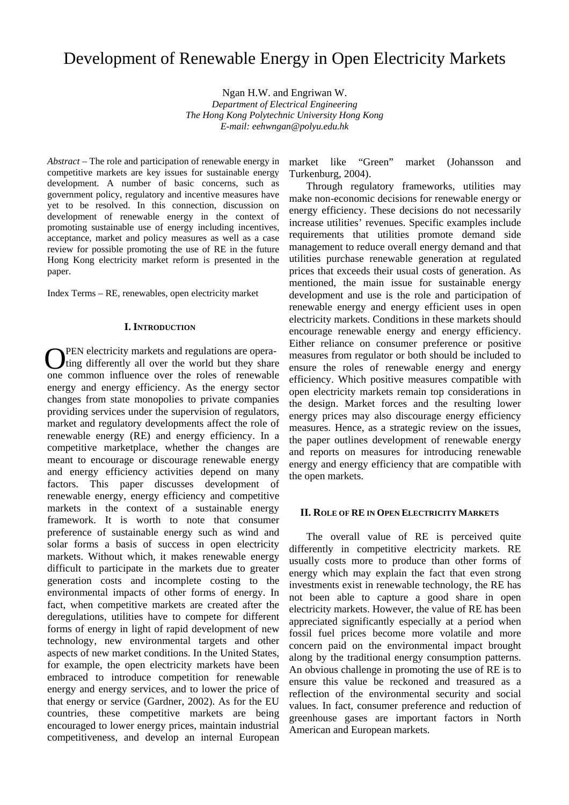# Development of Renewable Energy in Open Electricity Markets

Ngan H.W. and Engriwan W. *Department of Electrical Engineering The Hong Kong Polytechnic University Hong Kong E-mail: eehwngan@polyu.edu.hk*

*Abstract –* The role and participation of renewable energy in competitive markets are key issues for sustainable energy development. A number of basic concerns, such as government policy, regulatory and incentive measures have yet to be resolved. In this connection, discussion on development of renewable energy in the context of promoting sustainable use of energy including incentives, acceptance, market and policy measures as well as a case review for possible promoting the use of RE in the future Hong Kong electricity market reform is presented in the paper.

Index Terms – RE, renewables, open electricity market

# **I. INTRODUCTION**

 PEN electricity markets and regulations are opera- **O**PEN electricity markets and regulations are operating differently all over the world but they share are assumed. one common influence over the roles of renewable energy and energy efficiency. As the energy sector changes from state monopolies to private companies providing services under the supervision of regulators, market and regulatory developments affect the role of renewable energy (RE) and energy efficiency. In a competitive marketplace, whether the changes are meant to encourage or discourage renewable energy and energy efficiency activities depend on many factors. This paper discusses development of renewable energy, energy efficiency and competitive markets in the context of a sustainable energy framework. It is worth to note that consumer preference of sustainable energy such as wind and solar forms a basis of success in open electricity markets. Without which, it makes renewable energy difficult to participate in the markets due to greater generation costs and incomplete costing to the environmental impacts of other forms of energy. In fact, when competitive markets are created after the deregulations, utilities have to compete for different forms of energy in light of rapid development of new technology, new environmental targets and other aspects of new market conditions. In the United States, for example, the open electricity markets have been embraced to introduce competition for renewable energy and energy services, and to lower the price of that energy or service (Gardner, 2002). As for the EU countries, these competitive markets are being encouraged to lower energy prices, maintain industrial competitiveness, and develop an internal European

market like "Green" market (Johansson and Turkenburg, 2004).

Through regulatory frameworks, utilities may make non-economic decisions for renewable energy or energy efficiency. These decisions do not necessarily increase utilities' revenues. Specific examples include requirements that utilities promote demand side management to reduce overall energy demand and that utilities purchase renewable generation at regulated prices that exceeds their usual costs of generation. As mentioned, the main issue for sustainable energy development and use is the role and participation of renewable energy and energy efficient uses in open electricity markets. Conditions in these markets should encourage renewable energy and energy efficiency. Either reliance on consumer preference or positive measures from regulator or both should be included to ensure the roles of renewable energy and energy efficiency. Which positive measures compatible with open electricity markets remain top considerations in the design. Market forces and the resulting lower energy prices may also discourage energy efficiency measures. Hence, as a strategic review on the issues, the paper outlines development of renewable energy and reports on measures for introducing renewable energy and energy efficiency that are compatible with the open markets.

#### **II. ROLE OF RE IN OPEN ELECTRICITY MARKETS**

The overall value of RE is perceived quite differently in competitive electricity markets. RE usually costs more to produce than other forms of energy which may explain the fact that even strong investments exist in renewable technology, the RE has not been able to capture a good share in open electricity markets. However, the value of RE has been appreciated significantly especially at a period when fossil fuel prices become more volatile and more concern paid on the environmental impact brought along by the traditional energy consumption patterns. An obvious challenge in promoting the use of RE is to ensure this value be reckoned and treasured as a reflection of the environmental security and social values. In fact, consumer preference and reduction of greenhouse gases are important factors in North American and European markets.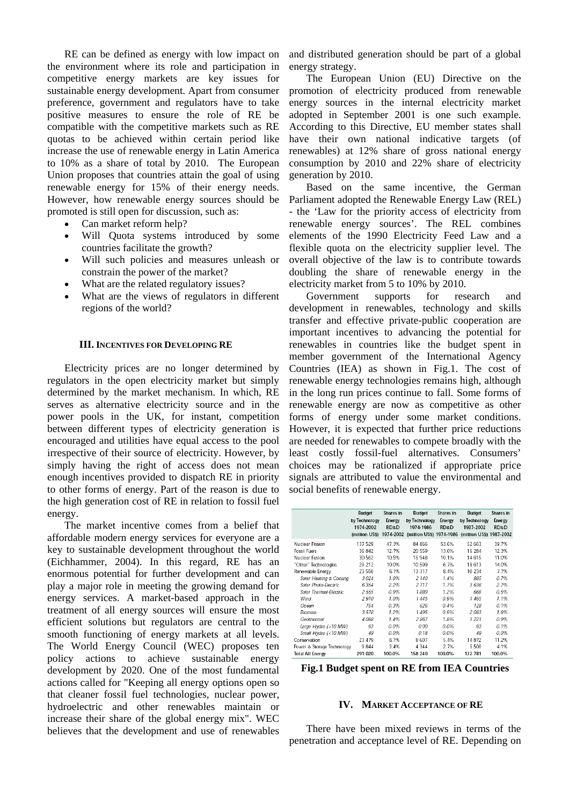RE can be defined as energy with low impact on the environment where its role and participation in competitive energy markets are key issues for sustainable energy development. Apart from consumer preference, government and regulators have to take positive measures to ensure the role of RE be compatible with the competitive markets such as RE quotas to be achieved within certain period like increase the use of renewable energy in Latin America to 10% as a share of total by 2010. The European Union proposes that countries attain the goal of using renewable energy for 15% of their energy needs. However, how renewable energy sources should be promoted is still open for discussion, such as:

- Can market reform help?
- Will Quota systems introduced by some countries facilitate the growth?
- Will such policies and measures unleash or constrain the power of the market?
- What are the related regulatory issues?
- What are the views of regulators in different regions of the world?

## **III. INCENTIVES FOR DEVELOPING RE**

Electricity prices are no longer determined by regulators in the open electricity market but simply determined by the market mechanism. In which, RE serves as alternative electricity source and in the power pools in the UK, for instant, competition between different types of electricity generation is encouraged and utilities have equal access to the pool irrespective of their source of electricity. However, by simply having the right of access does not mean enough incentives provided to dispatch RE in priority to other forms of energy. Part of the reason is due to the high generation cost of RE in relation to fossil fuel energy.

The market incentive comes from a belief that affordable modern energy services for everyone are a key to sustainable development throughout the world (Eichhammer, 2004). In this regard, RE has an enormous potential for further development and can play a major role in meeting the growing demand for energy services. A market-based approach in the treatment of all energy sources will ensure the most efficient solutions but regulators are central to the smooth functioning of energy markets at all levels. The World Energy Council (WEC) proposes ten policy actions to achieve sustainable energy development by 2020. One of the most fundamental actions called for "Keeping all energy options open so that cleaner fossil fuel technologies, nuclear power, hydroelectric and other renewables maintain or increase their share of the global energy mix". WEC believes that the development and use of renewables and distributed generation should be part of a global energy strategy.

The European Union (EU) Directive on the promotion of electricity produced from renewable energy sources in the internal electricity market adopted in September 2001 is one such example. According to this Directive, EU member states shall have their own national indicative targets (of renewables) at 12% share of gross national energy consumption by 2010 and 22% share of electricity generation by 2010.

Based on the same incentive, the German Parliament adopted the Renewable Energy Law (REL) - the 'Law for the priority access of electricity from renewable energy sources'. The REL combines elements of the 1990 Electricity Feed Law and a flexible quota on the electricity supplier level. The overall objective of the law is to contribute towards doubling the share of renewable energy in the electricity market from 5 to 10% by 2010.

Government supports for research and development in renewables, technology and skills transfer and effective private-public cooperation are important incentives to advancing the potential for renewables in countries like the budget spent in member government of the International Agency Countries (IEA) as shown in Fig.1. The cost of renewable energy technologies remains high, although in the long run prices continue to fall. Some forms of renewable energy are now as competitive as other forms of energy under some market conditions. However, it is expected that further price reductions are needed for renewables to compete broadly with the least costly fossil-fuel alternatives. Consumers' choices may be rationalized if appropriate price signals are attributed to value the environmental and social benefits of renewable energy.

|                            | <b>Budget</b><br>by Technology<br>1974-2002<br>(million US\$) | Shares in<br>Energy<br>RD&D<br>1974-2002 | <b>Budget</b><br>by Technology<br>1974-1986<br>(million US\$) 1974-1986 | Shares in<br>Energy<br>RD&D | <b>Budget</b><br>by Technology<br>1987-2002<br>(million US\$) 1987-2002 | Shares in<br>Energy<br>RD&D |
|----------------------------|---------------------------------------------------------------|------------------------------------------|-------------------------------------------------------------------------|-----------------------------|-------------------------------------------------------------------------|-----------------------------|
| Nuclear Fission            | 137 529                                                       | 47.3%                                    | 84 866                                                                  | 53.6%                       | 52 663                                                                  | 39.7%                       |
| <b>Fossil Fuels</b>        | 36 842                                                        | 12.7%                                    | 20559                                                                   | 13.0%                       | 16 284                                                                  | 12.3%                       |
| Nuclear Fusion             | 30 562                                                        | 10.5%                                    | 15948                                                                   | 10.1%                       | 14 615                                                                  | 11.0%                       |
| "Other" Technologies       | 29 21 2                                                       | 10.0%                                    | 10599                                                                   | 6.7%                        | 18613                                                                   | 14.0%                       |
| Renewable Energy           | 23 550                                                        | 8.1%                                     | 13 317                                                                  | 8.4%                        | 10 2 3 4                                                                | 7.7%                        |
| Solar Heating & Cooling    | 3024                                                          | 1.0%                                     | 2 140                                                                   | 1.4%                        | 885                                                                     | 0.7%                        |
| Solar Photo-Electric       | 6354                                                          | 2.2%                                     | 2717                                                                    | 1.7%                        | 3636                                                                    | 2.7%                        |
| Solar Thermal-Flectric     | 2555                                                          | 0.9%                                     | 1889                                                                    | 1.2%                        | 666                                                                     | 0.5%                        |
| Wind                       | 2910                                                          | 1.0%                                     | 1445                                                                    | 0.9%                        | 1465                                                                    | 1.1%                        |
| Ocean                      | 754                                                           | 0.3%                                     | 626                                                                     | 0.4%                        | 128                                                                     | 0.1%                        |
| <b>Biomass</b>             | 3578                                                          | 1.2%                                     | 1495                                                                    | 0.9%                        | 2083                                                                    | 1.6%                        |
| Geothermal                 | 4088                                                          | 1.4%                                     | 2.867                                                                   | 1.8%                        | 1 2 2 1                                                                 | 0.9%                        |
| Large Hydro (>10 MW)       | 93                                                            | 0.0%                                     | 0.00                                                                    | 0.0%                        | 93                                                                      | 0.1%                        |
| Small Hydro (<10 MW)       | 49                                                            | 0.0%                                     | 0.18                                                                    | 0.0%                        | 49                                                                      | $0.0\%$                     |
| Conservation               | 23 4 7 9                                                      | 8.1%                                     | 8607                                                                    | 5.4%                        | 14 872                                                                  | 11.2%                       |
| Power & Storage Technology | 9844                                                          | 3.4%                                     | 4 3 4 4                                                                 | 2.7%                        | 5 500                                                                   | 4.1%                        |
| <b>Total All Energy</b>    | 291 020                                                       | 100.0%                                   | 158 240                                                                 | 100.0%                      | 132 781                                                                 | 100.0%                      |

# **Fig.1 Budget spent on RE from IEA Countries**

#### **IV. MARKET ACCEPTANCE OF RE**

There have been mixed reviews in terms of the penetration and acceptance level of RE. Depending on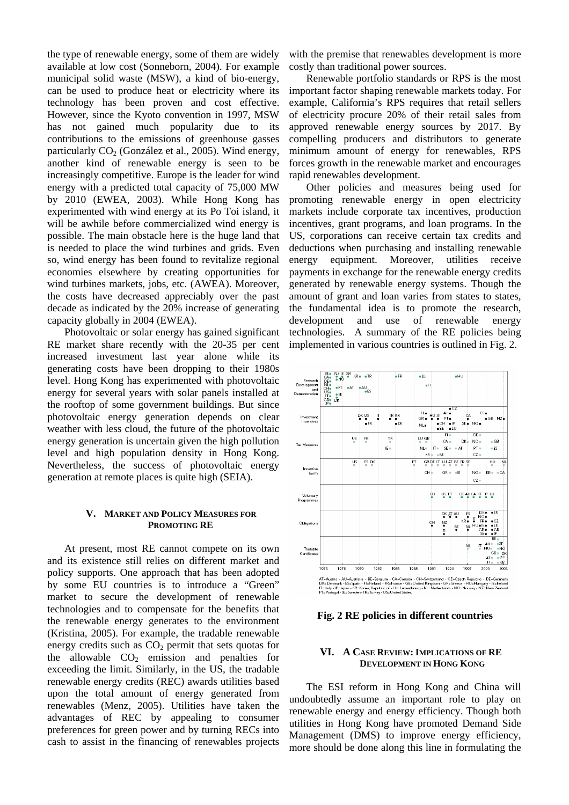the type of renewable energy, some of them are widely available at low cost (Sonneborn, 2004). For example municipal solid waste (MSW), a kind of bio-energy, can be used to produce heat or electricity where its technology has been proven and cost effective. However, since the Kyoto convention in 1997, MSW has not gained much popularity due to its contributions to the emissions of greenhouse gasses particularly CO<sub>2</sub> (González et al., 2005). Wind energy, another kind of renewable energy is seen to be increasingly competitive. Europe is the leader for wind energy with a predicted total capacity of 75,000 MW by 2010 (EWEA, 2003). While Hong Kong has experimented with wind energy at its Po Toi island, it will be awhile before commercialized wind energy is possible. The main obstacle here is the huge land that is needed to place the wind turbines and grids. Even so, wind energy has been found to revitalize regional economies elsewhere by creating opportunities for wind turbines markets, jobs, etc. (AWEA). Moreover, the costs have decreased appreciably over the past decade as indicated by the 20% increase of generating capacity globally in 2004 (EWEA).

Photovoltaic or solar energy has gained significant RE market share recently with the 20-35 per cent increased investment last year alone while its generating costs have been dropping to their 1980s level. Hong Kong has experimented with photovoltaic energy for several years with solar panels installed at the rooftop of some government buildings. But since photovoltaic energy generation depends on clear weather with less cloud, the future of the photovoltaic energy generation is uncertain given the high pollution level and high population density in Hong Kong. Nevertheless, the success of photovoltaic energy generation at remote places is quite high (SEIA).

#### **V. MARKET AND POLICY MEASURES FOR PROMOTING RE**

At present, most RE cannot compete on its own and its existence still relies on different market and policy supports. One approach that has been adopted by some EU countries is to introduce a "Green" market to secure the development of renewable technologies and to compensate for the benefits that the renewable energy generates to the environment (Kristina, 2005). For example, the tradable renewable energy credits such as  $CO<sub>2</sub>$  permit that sets quotas for the allowable  $CO<sub>2</sub>$  emission and penalties for exceeding the limit. Similarly, in the US, the tradable renewable energy credits (REC) awards utilities based upon the total amount of energy generated from renewables (Menz, 2005). Utilities have taken the advantages of REC by appealing to consumer preferences for green power and by turning RECs into cash to assist in the financing of renewables projects with the premise that renewables development is more costly than traditional power sources.

Renewable portfolio standards or RPS is the most important factor shaping renewable markets today. For example, California's RPS requires that retail sellers of electricity procure 20% of their retail sales from approved renewable energy sources by 2017. By compelling producers and distributors to generate minimum amount of energy for renewables, RPS forces growth in the renewable market and encourages rapid renewables development.

Other policies and measures being used for promoting renewable energy in open electricity markets include corporate tax incentives, production incentives, grant programs, and loan programs. In the US, corporations can receive certain tax credits and deductions when purchasing and installing renewable energy equipment. Moreover, utilities receive payments in exchange for the renewable energy credits generated by renewable energy systems. Though the amount of grant and loan varies from states to states, the fundamental idea is to promote the research, development and use of renewable energy technologies. A summary of the RE policies being implemented in various countries is outlined in Fig. 2.



**Fig. 2 RE policies in different countries**

## **VI. A CASE REVIEW: IMPLICATIONS OF RE DEVELOPMENT IN HONG KONG**

The ESI reform in Hong Kong and China will undoubtedly assume an important role to play on renewable energy and energy efficiency. Though both utilities in Hong Kong have promoted Demand Side Management (DMS) to improve energy efficiency, more should be done along this line in formulating the